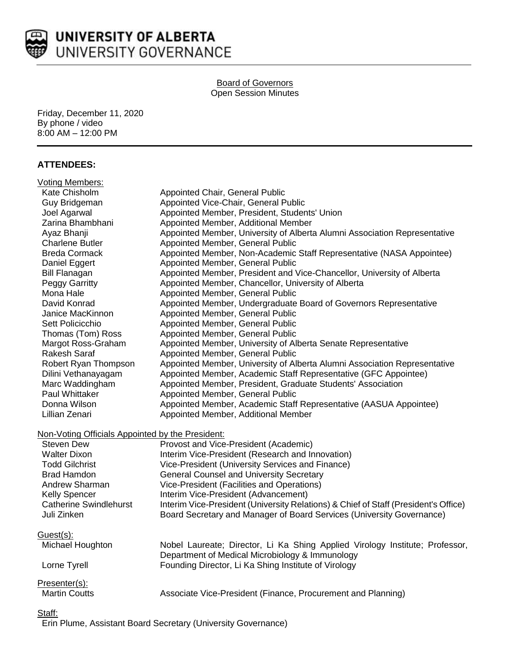

#### Board of Governors Open Session Minutes

Friday, December 11, 2020 By phone / video 8:00 AM – 12:00 PM

## **ATTENDEES:**

| <b>Voting Members:</b>                           |                                                                                     |
|--------------------------------------------------|-------------------------------------------------------------------------------------|
| Kate Chisholm                                    | Appointed Chair, General Public                                                     |
| Guy Bridgeman                                    | Appointed Vice-Chair, General Public                                                |
| Joel Agarwal                                     | Appointed Member, President, Students' Union                                        |
| Zarina Bhambhani                                 | Appointed Member, Additional Member                                                 |
| Ayaz Bhanji                                      | Appointed Member, University of Alberta Alumni Association Representative           |
| <b>Charlene Butler</b>                           | Appointed Member, General Public                                                    |
| <b>Breda Cormack</b>                             | Appointed Member, Non-Academic Staff Representative (NASA Appointee)                |
| Daniel Eggert                                    | Appointed Member, General Public                                                    |
| <b>Bill Flanagan</b>                             | Appointed Member, President and Vice-Chancellor, University of Alberta              |
| Peggy Garritty                                   | Appointed Member, Chancellor, University of Alberta                                 |
| Mona Hale                                        | Appointed Member, General Public                                                    |
| David Konrad                                     | Appointed Member, Undergraduate Board of Governors Representative                   |
| Janice MacKinnon                                 | Appointed Member, General Public                                                    |
| Sett Policicchio                                 | Appointed Member, General Public                                                    |
| Thomas (Tom) Ross                                | Appointed Member, General Public                                                    |
| Margot Ross-Graham                               | Appointed Member, University of Alberta Senate Representative                       |
| Rakesh Saraf                                     | Appointed Member, General Public                                                    |
| Robert Ryan Thompson                             | Appointed Member, University of Alberta Alumni Association Representative           |
| Dilini Vethanayagam                              | Appointed Member, Academic Staff Representative (GFC Appointee)                     |
| Marc Waddingham                                  | Appointed Member, President, Graduate Students' Association                         |
| Paul Whittaker                                   | Appointed Member, General Public                                                    |
| Donna Wilson                                     | Appointed Member, Academic Staff Representative (AASUA Appointee)                   |
| Lillian Zenari                                   | Appointed Member, Additional Member                                                 |
| Non-Voting Officials Appointed by the President: |                                                                                     |
| <b>Steven Dew</b>                                | Provost and Vice-President (Academic)                                               |
| <b>Walter Dixon</b>                              | Interim Vice-President (Research and Innovation)                                    |
| <b>Todd Gilchrist</b>                            | Vice-President (University Services and Finance)                                    |
| <b>Brad Hamdon</b>                               | <b>General Counsel and University Secretary</b>                                     |
| Andrew Sharman                                   | Vice-President (Facilities and Operations)                                          |
| Kelly Spencer                                    | Interim Vice-President (Advancement)                                                |
| <b>Catherine Swindlehurst</b>                    | Interim Vice-President (University Relations) & Chief of Staff (President's Office) |
| Juli Zinken                                      | Board Secretary and Manager of Board Services (University Governance)               |
| Guest(s):                                        |                                                                                     |
| Michael Houghton                                 | Nobel Laureate; Director, Li Ka Shing Applied Virology Institute; Professor,        |
|                                                  | Department of Medical Microbiology & Immunology                                     |
| Lorne Tyrell                                     | Founding Director, Li Ka Shing Institute of Virology                                |
| Presenter(s):                                    |                                                                                     |
| <b>Martin Coutts</b>                             | Associate Vice-President (Finance, Procurement and Planning)                        |
|                                                  |                                                                                     |

Staff:

Erin Plume, Assistant Board Secretary (University Governance)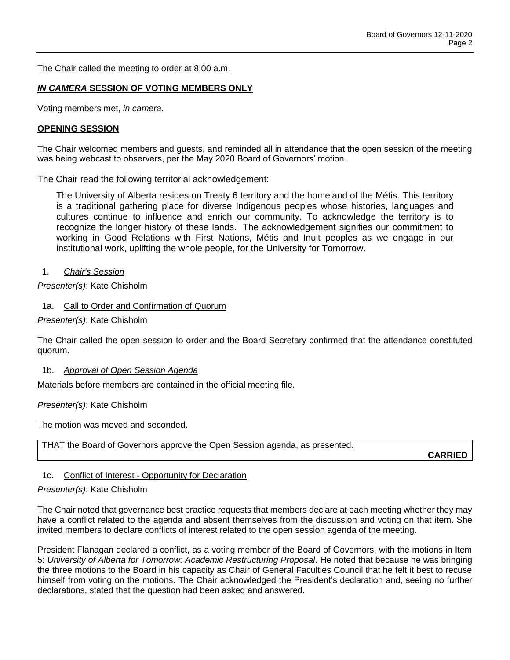The Chair called the meeting to order at 8:00 a.m.

### *IN CAMERA* **SESSION OF VOTING MEMBERS ONLY**

Voting members met, *in camera*.

#### **OPENING SESSION**

The Chair welcomed members and guests, and reminded all in attendance that the open session of the meeting was being webcast to observers, per the May 2020 Board of Governors' motion.

The Chair read the following territorial acknowledgement:

The University of Alberta resides on Treaty 6 territory and the homeland of the Métis. This territory is a traditional gathering place for diverse Indigenous peoples whose histories, languages and cultures continue to influence and enrich our community. To acknowledge the territory is to recognize the longer history of these lands. The acknowledgement signifies our commitment to working in Good Relations with First Nations, Métis and Inuit peoples as we engage in our institutional work, uplifting the whole people, for the University for Tomorrow.

1. *Chair's Session*

*Presenter(s)*: Kate Chisholm

### 1a. Call to Order and Confirmation of Quorum

*Presenter(s)*: Kate Chisholm

The Chair called the open session to order and the Board Secretary confirmed that the attendance constituted quorum.

#### 1b. *Approval of Open Session Agenda*

Materials before members are contained in the official meeting file.

#### *Presenter(s)*: Kate Chisholm

The motion was moved and seconded.

THAT the Board of Governors approve the Open Session agenda, as presented.

**CARRIED**

### 1c. Conflict of Interest - Opportunity for Declaration

#### *Presenter(s)*: Kate Chisholm

The Chair noted that governance best practice requests that members declare at each meeting whether they may have a conflict related to the agenda and absent themselves from the discussion and voting on that item. She invited members to declare conflicts of interest related to the open session agenda of the meeting.

President Flanagan declared a conflict, as a voting member of the Board of Governors, with the motions in Item 5: *University of Alberta for Tomorrow: Academic Restructuring Proposal*. He noted that because he was bringing the three motions to the Board in his capacity as Chair of General Faculties Council that he felt it best to recuse himself from voting on the motions. The Chair acknowledged the President's declaration and, seeing no further declarations, stated that the question had been asked and answered.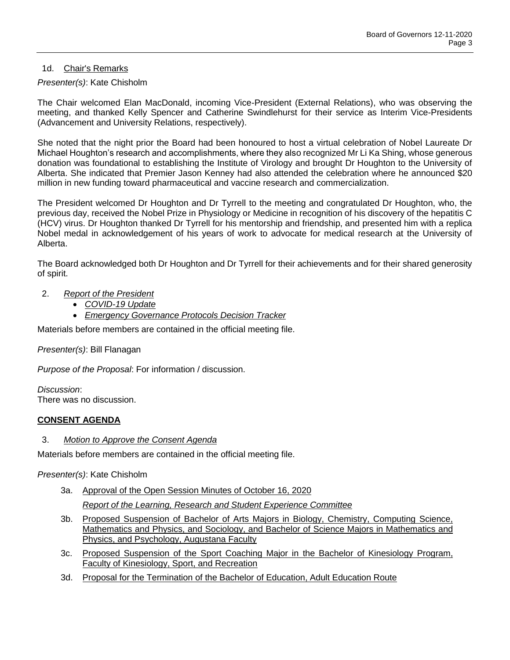## 1d. Chair's Remarks

## *Presenter(s)*: Kate Chisholm

The Chair welcomed Elan MacDonald, incoming Vice-President (External Relations), who was observing the meeting, and thanked Kelly Spencer and Catherine Swindlehurst for their service as Interim Vice-Presidents (Advancement and University Relations, respectively).

She noted that the night prior the Board had been honoured to host a virtual celebration of Nobel Laureate Dr Michael Houghton's research and accomplishments, where they also recognized Mr Li Ka Shing, whose generous donation was foundational to establishing the Institute of Virology and brought Dr Houghton to the University of Alberta. She indicated that Premier Jason Kenney had also attended the celebration where he announced \$20 million in new funding toward pharmaceutical and vaccine research and commercialization.

The President welcomed Dr Houghton and Dr Tyrrell to the meeting and congratulated Dr Houghton, who, the previous day, received the Nobel Prize in Physiology or Medicine in recognition of his discovery of the hepatitis C (HCV) virus. Dr Houghton thanked Dr Tyrrell for his mentorship and friendship, and presented him with a replica Nobel medal in acknowledgement of his years of work to advocate for medical research at the University of Alberta.

The Board acknowledged both Dr Houghton and Dr Tyrrell for their achievements and for their shared generosity of spirit.

- 2. *Report of the President*
	- *COVID-19 Update*
	- *Emergency Governance Protocols Decision Tracker*

Materials before members are contained in the official meeting file.

*Presenter(s)*: Bill Flanagan

*Purpose of the Proposal*: For information / discussion.

*Discussion*: There was no discussion.

# **CONSENT AGENDA**

3. *Motion to Approve the Consent Agenda*

Materials before members are contained in the official meeting file.

*Presenter(s)*: Kate Chisholm

- 3a. Approval of the Open Session Minutes of October 16, 2020 *Report of the Learning, Research and Student Experience Committee*
- 3b. Proposed Suspension of Bachelor of Arts Majors in Biology, Chemistry, Computing Science, Mathematics and Physics, and Sociology, and Bachelor of Science Majors in Mathematics and Physics, and Psychology, Augustana Faculty
- 3c. Proposed Suspension of the Sport Coaching Major in the Bachelor of Kinesiology Program, Faculty of Kinesiology, Sport, and Recreation
- 3d. Proposal for the Termination of the Bachelor of Education, Adult Education Route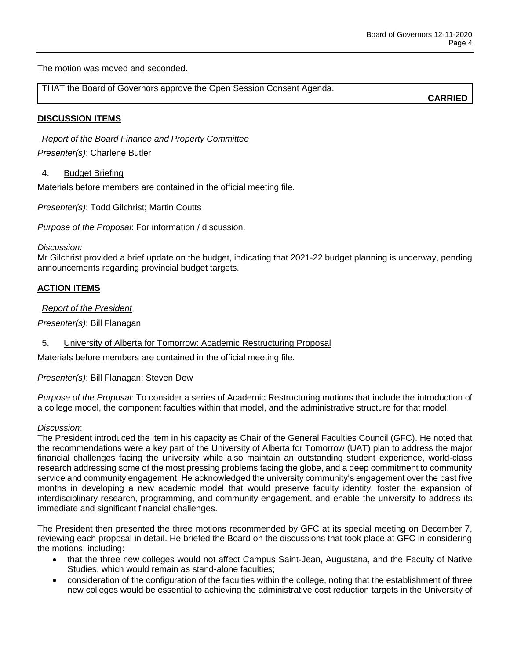The motion was moved and seconded.

THAT the Board of Governors approve the Open Session Consent Agenda.

**CARRIED**

## **DISCUSSION ITEMS**

*Report of the Board Finance and Property Committee*

*Presenter(s)*: Charlene Butler

### 4. Budget Briefing

Materials before members are contained in the official meeting file.

*Presenter(s)*: Todd Gilchrist; Martin Coutts

*Purpose of the Proposal*: For information / discussion.

### *Discussion:*

Mr Gilchrist provided a brief update on the budget, indicating that 2021-22 budget planning is underway, pending announcements regarding provincial budget targets.

## **ACTION ITEMS**

*Report of the President*

*Presenter(s)*: Bill Flanagan

5. University of Alberta for Tomorrow: Academic Restructuring Proposal

Materials before members are contained in the official meeting file.

*Presenter(s)*: Bill Flanagan; Steven Dew

*Purpose of the Proposal*: To consider a series of Academic Restructuring motions that include the introduction of a college model, the component faculties within that model, and the administrative structure for that model.

### *Discussion*:

The President introduced the item in his capacity as Chair of the General Faculties Council (GFC). He noted that the recommendations were a key part of the University of Alberta for Tomorrow (UAT) plan to address the major financial challenges facing the university while also maintain an outstanding student experience, world-class research addressing some of the most pressing problems facing the globe, and a deep commitment to community service and community engagement. He acknowledged the university community's engagement over the past five months in developing a new academic model that would preserve faculty identity, foster the expansion of interdisciplinary research, programming, and community engagement, and enable the university to address its immediate and significant financial challenges.

The President then presented the three motions recommended by GFC at its special meeting on December 7, reviewing each proposal in detail. He briefed the Board on the discussions that took place at GFC in considering the motions, including:

- that the three new colleges would not affect Campus Saint-Jean, Augustana, and the Faculty of Native Studies, which would remain as stand-alone faculties;
- consideration of the configuration of the faculties within the college, noting that the establishment of three new colleges would be essential to achieving the administrative cost reduction targets in the University of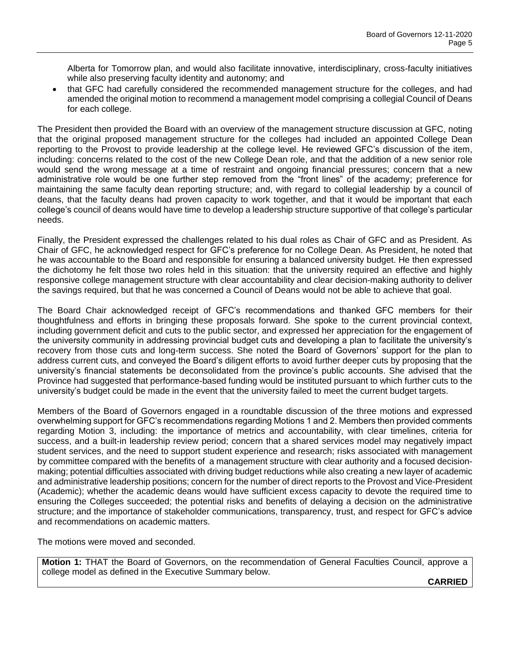Alberta for Tomorrow plan, and would also facilitate innovative, interdisciplinary, cross-faculty initiatives while also preserving faculty identity and autonomy; and

 that GFC had carefully considered the recommended management structure for the colleges, and had amended the original motion to recommend a management model comprising a collegial Council of Deans for each college.

The President then provided the Board with an overview of the management structure discussion at GFC, noting that the original proposed management structure for the colleges had included an appointed College Dean reporting to the Provost to provide leadership at the college level. He reviewed GFC's discussion of the item, including: concerns related to the cost of the new College Dean role, and that the addition of a new senior role would send the wrong message at a time of restraint and ongoing financial pressures; concern that a new administrative role would be one further step removed from the "front lines" of the academy; preference for maintaining the same faculty dean reporting structure; and, with regard to collegial leadership by a council of deans, that the faculty deans had proven capacity to work together, and that it would be important that each college's council of deans would have time to develop a leadership structure supportive of that college's particular needs.

Finally, the President expressed the challenges related to his dual roles as Chair of GFC and as President. As Chair of GFC, he acknowledged respect for GFC's preference for no College Dean. As President, he noted that he was accountable to the Board and responsible for ensuring a balanced university budget. He then expressed the dichotomy he felt those two roles held in this situation: that the university required an effective and highly responsive college management structure with clear accountability and clear decision-making authority to deliver the savings required, but that he was concerned a Council of Deans would not be able to achieve that goal.

The Board Chair acknowledged receipt of GFC's recommendations and thanked GFC members for their thoughtfulness and efforts in bringing these proposals forward. She spoke to the current provincial context, including government deficit and cuts to the public sector, and expressed her appreciation for the engagement of the university community in addressing provincial budget cuts and developing a plan to facilitate the university's recovery from those cuts and long-term success. She noted the Board of Governors' support for the plan to address current cuts, and conveyed the Board's diligent efforts to avoid further deeper cuts by proposing that the university's financial statements be deconsolidated from the province's public accounts. She advised that the Province had suggested that performance-based funding would be instituted pursuant to which further cuts to the university's budget could be made in the event that the university failed to meet the current budget targets.

Members of the Board of Governors engaged in a roundtable discussion of the three motions and expressed overwhelming support for GFC's recommendations regarding Motions 1 and 2. Members then provided comments regarding Motion 3, including: the importance of metrics and accountability, with clear timelines, criteria for success, and a built-in leadership review period; concern that a shared services model may negatively impact student services, and the need to support student experience and research; risks associated with management by committee compared with the benefits of a management structure with clear authority and a focused decisionmaking; potential difficulties associated with driving budget reductions while also creating a new layer of academic and administrative leadership positions; concern for the number of direct reports to the Provost and Vice-President (Academic); whether the academic deans would have sufficient excess capacity to devote the required time to ensuring the Colleges succeeded; the potential risks and benefits of delaying a decision on the administrative structure; and the importance of stakeholder communications, transparency, trust, and respect for GFC's advice and recommendations on academic matters.

The motions were moved and seconded.

**Motion 1:** THAT the Board of Governors, on the recommendation of General Faculties Council, approve a college model as defined in the Executive Summary below.

**CARRIED**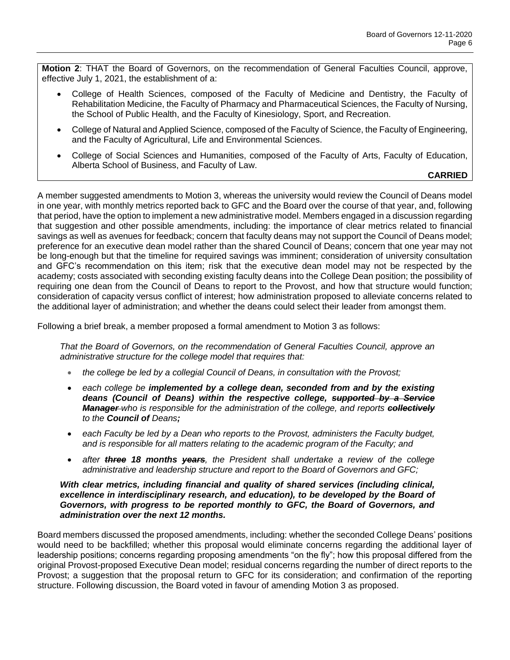**Motion 2**: THAT the Board of Governors, on the recommendation of General Faculties Council, approve, effective July 1, 2021, the establishment of a:

- College of Health Sciences, composed of the Faculty of Medicine and Dentistry, the Faculty of Rehabilitation Medicine, the Faculty of Pharmacy and Pharmaceutical Sciences, the Faculty of Nursing, the School of Public Health, and the Faculty of Kinesiology, Sport, and Recreation.
- College of Natural and Applied Science, composed of the Faculty of Science, the Faculty of Engineering, and the Faculty of Agricultural, Life and Environmental Sciences.
- College of Social Sciences and Humanities, composed of the Faculty of Arts, Faculty of Education, Alberta School of Business, and Faculty of Law.

# **CARRIED**

A member suggested amendments to Motion 3, whereas the university would review the Council of Deans model in one year, with monthly metrics reported back to GFC and the Board over the course of that year, and, following that period, have the option to implement a new administrative model. Members engaged in a discussion regarding that suggestion and other possible amendments, including: the importance of clear metrics related to financial savings as well as avenues for feedback; concern that faculty deans may not support the Council of Deans model; preference for an executive dean model rather than the shared Council of Deans; concern that one year may not be long-enough but that the timeline for required savings was imminent; consideration of university consultation and GFC's recommendation on this item; risk that the executive dean model may not be respected by the academy; costs associated with seconding existing faculty deans into the College Dean position; the possibility of requiring one dean from the Council of Deans to report to the Provost, and how that structure would function; consideration of capacity versus conflict of interest; how administration proposed to alleviate concerns related to the additional layer of administration; and whether the deans could select their leader from amongst them.

Following a brief break, a member proposed a formal amendment to Motion 3 as follows:

*That the Board of Governors, on the recommendation of General Faculties Council, approve an administrative structure for the college model that requires that:*

- *the college be led by a collegial Council of Deans, in consultation with the Provost;*
- *each college be implemented by a college dean, seconded from and by the existing deans (Council of Deans) within the respective college, supported by a Service Manager who is responsible for the administration of the college, and reports collectively to the Council of Deans;*
- *each Faculty be led by a Dean who reports to the Provost, administers the Faculty budget, and is responsible for all matters relating to the academic program of the Faculty; and*
- *after three 18 months years, the President shall undertake a review of the college administrative and leadership structure and report to the Board of Governors and GFC;*

### *With clear metrics, including financial and quality of shared services (including clinical,*  excellence in interdisciplinary research, and education), to be developed by the Board of *Governors, with progress to be reported monthly to GFC, the Board of Governors, and administration over the next 12 months.*

Board members discussed the proposed amendments, including: whether the seconded College Deans' positions would need to be backfilled; whether this proposal would eliminate concerns regarding the additional layer of leadership positions; concerns regarding proposing amendments "on the fly"; how this proposal differed from the original Provost-proposed Executive Dean model; residual concerns regarding the number of direct reports to the Provost; a suggestion that the proposal return to GFC for its consideration; and confirmation of the reporting structure. Following discussion, the Board voted in favour of amending Motion 3 as proposed.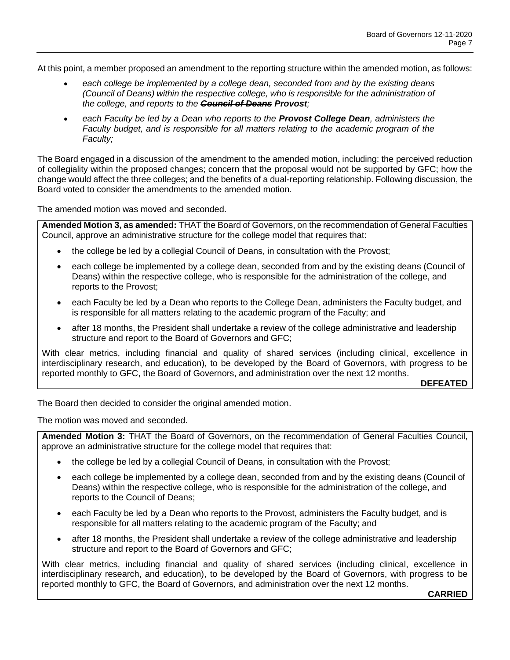At this point, a member proposed an amendment to the reporting structure within the amended motion, as follows:

- *each college be implemented by a college dean, seconded from and by the existing deans (Council of Deans) within the respective college, who is responsible for the administration of the college, and reports to the Council of Deans Provost;*
- *each Faculty be led by a Dean who reports to the Provost College Dean, administers the Faculty budget, and is responsible for all matters relating to the academic program of the Faculty;*

The Board engaged in a discussion of the amendment to the amended motion, including: the perceived reduction of collegiality within the proposed changes; concern that the proposal would not be supported by GFC; how the change would affect the three colleges; and the benefits of a dual-reporting relationship. Following discussion, the Board voted to consider the amendments to the amended motion.

The amended motion was moved and seconded.

**Amended Motion 3, as amended:** THAT the Board of Governors, on the recommendation of General Faculties Council, approve an administrative structure for the college model that requires that:

- the college be led by a collegial Council of Deans, in consultation with the Provost;
- each college be implemented by a college dean, seconded from and by the existing deans (Council of Deans) within the respective college, who is responsible for the administration of the college, and reports to the Provost;
- each Faculty be led by a Dean who reports to the College Dean, administers the Faculty budget, and is responsible for all matters relating to the academic program of the Faculty; and
- after 18 months, the President shall undertake a review of the college administrative and leadership structure and report to the Board of Governors and GFC;

With clear metrics, including financial and quality of shared services (including clinical, excellence in interdisciplinary research, and education), to be developed by the Board of Governors, with progress to be reported monthly to GFC, the Board of Governors, and administration over the next 12 months.

**DEFEATED**

The Board then decided to consider the original amended motion.

The motion was moved and seconded.

**Amended Motion 3:** THAT the Board of Governors, on the recommendation of General Faculties Council, approve an administrative structure for the college model that requires that:

- the college be led by a collegial Council of Deans, in consultation with the Provost;
- each college be implemented by a college dean, seconded from and by the existing deans (Council of Deans) within the respective college, who is responsible for the administration of the college, and reports to the Council of Deans;
- each Faculty be led by a Dean who reports to the Provost, administers the Faculty budget, and is responsible for all matters relating to the academic program of the Faculty; and
- after 18 months, the President shall undertake a review of the college administrative and leadership structure and report to the Board of Governors and GFC;

With clear metrics, including financial and quality of shared services (including clinical, excellence in interdisciplinary research, and education), to be developed by the Board of Governors, with progress to be reported monthly to GFC, the Board of Governors, and administration over the next 12 months.

**CARRIED**